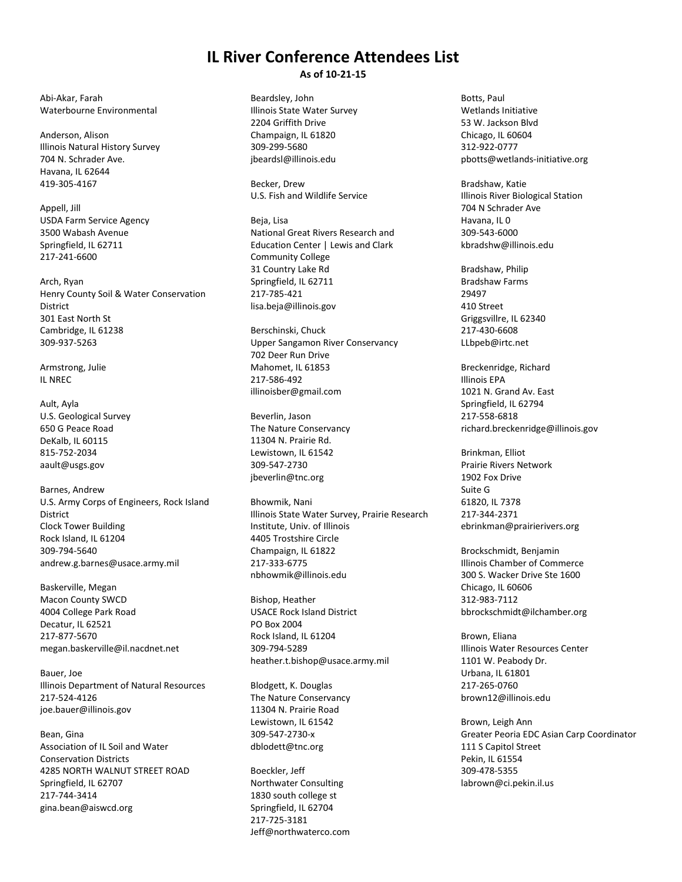## **IL River Conference Attendees List As of 10-21-15**

Abi-Akar, Farah Waterbourne Environmental

Anderson, Alison Illinois Natural History Survey 704 N. Schrader Ave. Havana, IL 62644 419-305-4167

Appell, Jill USDA Farm Service Agency 3500 Wabash Avenue Springfield, IL 62711 217-241-6600

Arch, Ryan Henry County Soil & Water Conservation **District** 301 East North St Cambridge, IL 61238 309-937-5263

Armstrong, Julie IL NREC

Ault, Ayla U.S. Geological Survey 650 G Peace Road DeKalb, IL 60115 815-752-2034 aault@usgs.gov

Barnes, Andrew U.S. Army Corps of Engineers, Rock Island District Clock Tower Building Rock Island, IL 61204 309-794-5640 andrew.g.barnes@usace.army.mil

Baskerville, Megan Macon County SWCD 4004 College Park Road Decatur, IL 62521 217-877-5670 megan.baskerville@il.nacdnet.net

Bauer, Joe Illinois Department of Natural Resources 217-524-4126 joe.bauer@illinois.gov

Bean, Gina Association of IL Soil and Water Conservation Districts 4285 NORTH WALNUT STREET ROAD Springfield, IL 62707 217-744-3414 gina.bean@aiswcd.org

Beardsley, John Illinois State Water Survey 2204 Griffith Drive Champaign, IL 61820 309-299-5680 jbeardsl@illinois.edu

Becker, Drew U.S. Fish and Wildlife Service

Beja, Lisa National Great Rivers Research and Education Center | Lewis and Clark Community College 31 Country Lake Rd Springfield, IL 62711 217-785-421 lisa.beja@illinois.gov

Berschinski, Chuck Upper Sangamon River Conservancy 702 Deer Run Drive Mahomet, IL 61853 217-586-492 illinoisber@gmail.com

Beverlin, Jason The Nature Conservancy 11304 N. Prairie Rd. Lewistown, IL 61542 309-547-2730 jbeverlin@tnc.org

Bhowmik, Nani Illinois State Water Survey, Prairie Research Institute, Univ. of Illinois 4405 Trostshire Circle Champaign, IL 61822 217-333-6775 nbhowmik@illinois.edu

Bishop, Heather USACE Rock Island District PO Box 2004 Rock Island, IL 61204 309-794-5289 heather.t.bishop@usace.army.mil

Blodgett, K. Douglas The Nature Conservancy 11304 N. Prairie Road Lewistown, IL 61542 309-547-2730-x dblodett@tnc.org

Boeckler, Jeff Northwater Consulting 1830 south college st Springfield, IL 62704 217-725-3181 Jeff@northwaterco.com

Botts, Paul Wetlands Initiative 53 W. Jackson Blvd Chicago, IL 60604 312-922-0777 pbotts@wetlands-initiative.org

Bradshaw, Katie Illinois River Biological Station 704 N Schrader Ave Havana, IL 0 309-543-6000 kbradshw@illinois.edu

Bradshaw, Philip Bradshaw Farms 29497 410 Street Griggsvillre, IL 62340 217-430-6608 LLbpeb@irtc.net

Breckenridge, Richard Illinois EPA 1021 N. Grand Av. East Springfield, IL 62794 217-558-6818 richard.breckenridge@illinois.gov

Brinkman, Elliot Prairie Rivers Network 1902 Fox Drive Suite G 61820, IL 7378 217-344-2371 ebrinkman@prairierivers.org

Brockschmidt, Benjamin Illinois Chamber of Commerce 300 S. Wacker Drive Ste 1600 Chicago, IL 60606 312-983-7112 bbrockschmidt@ilchamber.org

Brown, Eliana Illinois Water Resources Center 1101 W. Peabody Dr. Urbana, IL 61801 217-265-0760 brown12@illinois.edu

Brown, Leigh Ann Greater Peoria EDC Asian Carp Coordinator 111 S Capitol Street Pekin, IL 61554 309-478-5355 labrown@ci.pekin.il.us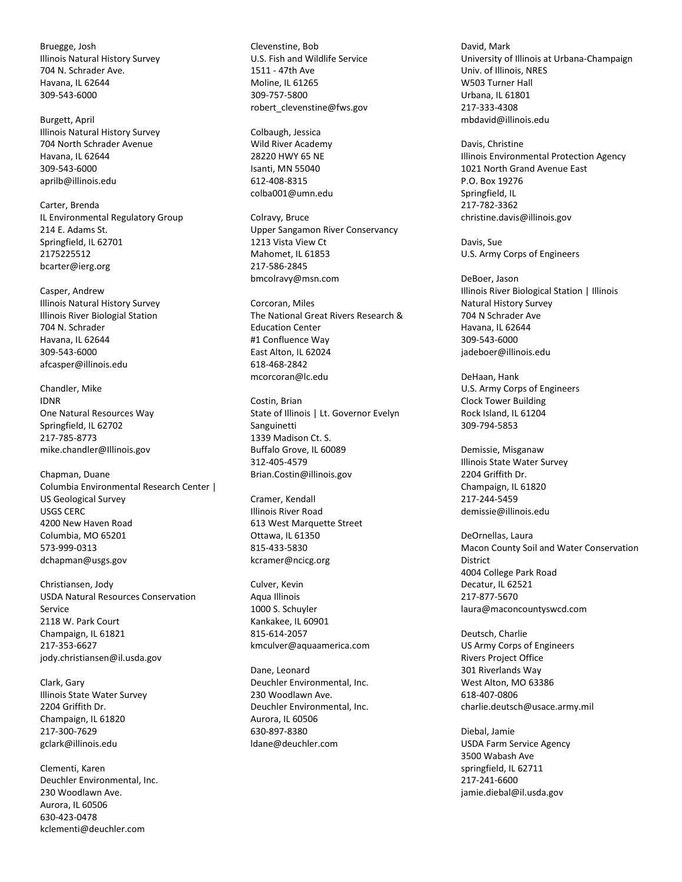Bruegge, Josh Illinois Natural History Survey 704 N. Schrader Ave. Havana, IL 62644 309-543-6000

Burgett, April Illinois Natural History Survey 704 North Schrader Avenue Havana, IL 62644 309-543-6000 aprilb@illinois.edu

Carter, Brenda IL Environmental Regulatory Group 214 E. Adams St. Springfield, IL 62701 2175225512 bcarter@ierg.org

Casper, Andrew Illinois Natural History Survey Illinois River Biologial Station 704 N. Schrader Havana, IL 62644 309-543-6000 afcasper@illinois.edu

Chandler, Mike IDNR One Natural Resources Way Springfield, IL 62702 217-785-8773 mike.chandler@Illinois.gov

Chapman, Duane Columbia Environmental Research Center | US Geological Survey USGS CERC 4200 New Haven Road Columbia, MO 65201 573-999-0313 dchapman@usgs.gov

Christiansen, Jody USDA Natural Resources Conservation Service 2118 W. Park Court Champaign, IL 61821 217-353-6627 jody.christiansen@il.usda.gov

Clark, Gary Illinois State Water Survey 2204 Griffith Dr. Champaign, IL 61820 217-300-7629 gclark@illinois.edu

Clementi, Karen Deuchler Environmental, Inc. 230 Woodlawn Ave. Aurora, IL 60506 630-423-0478 kclementi@deuchler.com

Clevenstine, Bob U.S. Fish and Wildlife Service 1511 - 47th Ave Moline, IL 61265 309-757-5800 robert\_clevenstine@fws.gov

Colbaugh, Jessica Wild River Academy 28220 HWY 65 NE Isanti, MN 55040 612-408-8315 colba001@umn.edu

Colravy, Bruce Upper Sangamon River Conservancy 1213 Vista View Ct Mahomet, IL 61853 217-586-2845 bmcolravy@msn.com

Corcoran, Miles The National Great Rivers Research & Education Center #1 Confluence Way East Alton, IL 62024 618-468-2842 mcorcoran@lc.edu

Costin, Brian State of Illinois | Lt. Governor Evelyn Sanguinetti 1339 Madison Ct. S. Buffalo Grove, IL 60089 312-405-4579 Brian.Costin@illinois.gov

Cramer, Kendall Illinois River Road 613 West Marquette Street Ottawa, IL 61350 815-433-5830 kcramer@ncicg.org

Culver, Kevin Aqua Illinois 1000 S. Schuyler Kankakee, IL 60901 815-614-2057 kmculver@aquaamerica.com

Dane, Leonard Deuchler Environmental, Inc. 230 Woodlawn Ave. Deuchler Environmental, Inc. Aurora, IL 60506 630-897-8380 ldane@deuchler.com

David, Mark University of Illinois at Urbana-Champaign Univ. of Illinois, NRES W503 Turner Hall Urbana, IL 61801 217-333-4308 mbdavid@illinois.edu

Davis, Christine Illinois Environmental Protection Agency 1021 North Grand Avenue East P.O. Box 19276 Springfield, IL 217-782-3362 christine.davis@illinois.gov

Davis, Sue U.S. Army Corps of Engineers

DeBoer, Jason Illinois River Biological Station | Illinois Natural History Survey 704 N Schrader Ave Havana, IL 62644 309-543-6000 jadeboer@illinois.edu

DeHaan, Hank U.S. Army Corps of Engineers Clock Tower Building Rock Island, IL 61204 309-794-5853

Demissie, Misganaw Illinois State Water Survey 2204 Griffith Dr. Champaign, IL 61820 217-244-5459 demissie@illinois.edu

DeOrnellas, Laura Macon County Soil and Water Conservation District 4004 College Park Road Decatur, IL 62521 217-877-5670 laura@maconcountyswcd.com

Deutsch, Charlie US Army Corps of Engineers Rivers Project Office 301 Riverlands Way West Alton, MO 63386 618-407-0806 charlie.deutsch@usace.army.mil

Diebal, Jamie USDA Farm Service Agency 3500 Wabash Ave springfield, IL 62711 217-241-6600 jamie.diebal@il.usda.gov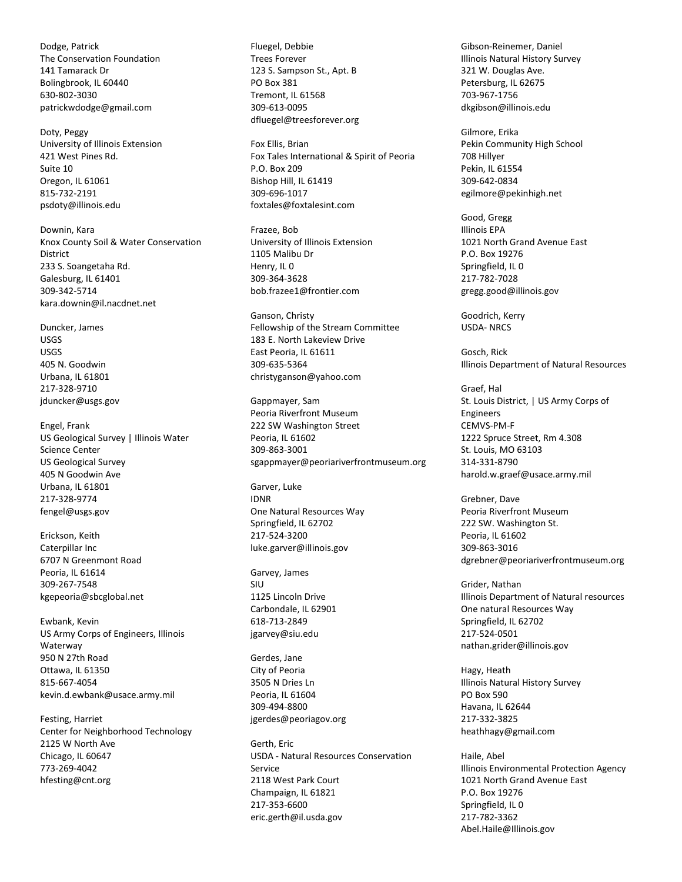Dodge, Patrick The Conservation Foundation 141 Tamarack Dr Bolingbrook, IL 60440 630-802-3030 patrickwdodge@gmail.com

Doty, Peggy University of Illinois Extension 421 West Pines Rd. Suite 10 Oregon, IL 61061 815-732-2191 psdoty@illinois.edu

Downin, Kara Knox County Soil & Water Conservation District 233 S. Soangetaha Rd. Galesburg, IL 61401 309-342-5714 kara.downin@il.nacdnet.net

Duncker, James USGS USGS 405 N. Goodwin Urbana, IL 61801 217-328-9710 jduncker@usgs.gov

Engel, Frank US Geological Survey | Illinois Water Science Center US Geological Survey 405 N Goodwin Ave Urbana, IL 61801 217-328-9774 fengel@usgs.gov

Erickson, Keith Caterpillar Inc 6707 N Greenmont Road Peoria, IL 61614 309-267-7548 kgepeoria@sbcglobal.net

Ewbank, Kevin US Army Corps of Engineers, Illinois Waterway 950 N 27th Road Ottawa, IL 61350 815-667-4054 kevin.d.ewbank@usace.army.mil

Festing, Harriet Center for Neighborhood Technology 2125 W North Ave Chicago, IL 60647 773-269-4042 hfesting@cnt.org

Fluegel, Debbie Trees Forever 123 S. Sampson St., Apt. B PO Box 381 Tremont, IL 61568 309-613-0095 dfluegel@treesforever.org

Fox Ellis, Brian Fox Tales International & Spirit of Peoria P.O. Box 209 Bishop Hill, IL 61419 309-696-1017 foxtales@foxtalesint.com

Frazee, Bob University of Illinois Extension 1105 Malibu Dr Henry, IL 0 309-364-3628 bob.frazee1@frontier.com

Ganson, Christy Fellowship of the Stream Committee 183 E. North Lakeview Drive East Peoria, IL 61611 309-635-5364 christyganson@yahoo.com

Gappmayer, Sam Peoria Riverfront Museum 222 SW Washington Street Peoria, IL 61602 309-863-3001 sgappmayer@peoriariverfrontmuseum.org

Garver, Luke IDNR One Natural Resources Way Springfield, IL 62702 217-524-3200 luke.garver@illinois.gov

Garvey, James SIU 1125 Lincoln Drive Carbondale, IL 62901 618-713-2849 jgarvey@siu.edu

Gerdes, Jane City of Peoria 3505 N Dries Ln Peoria, IL 61604 309-494-8800 jgerdes@peoriagov.org

Gerth, Eric USDA - Natural Resources Conservation Service 2118 West Park Court Champaign, IL 61821 217-353-6600 eric.gerth@il.usda.gov

Gibson-Reinemer, Daniel Illinois Natural History Survey 321 W. Douglas Ave. Petersburg, IL 62675 703-967-1756 dkgibson@illinois.edu

Gilmore, Erika Pekin Community High School 708 Hillyer Pekin, IL 61554 309-642-0834 egilmore@pekinhigh.net

Good, Gregg Illinois EPA 1021 North Grand Avenue East P.O. Box 19276 Springfield, IL 0 217-782-7028 gregg.good@illinois.gov

Goodrich, Kerry USDA- NRCS

Gosch, Rick Illinois Department of Natural Resources

Graef, Hal St. Louis District, | US Army Corps of Engineers CEMVS-PM-F 1222 Spruce Street, Rm 4.308 St. Louis, MO 63103 314-331-8790 harold.w.graef@usace.army.mil

Grebner, Dave Peoria Riverfront Museum 222 SW. Washington St. Peoria, IL 61602 309-863-3016 dgrebner@peoriariverfrontmuseum.org

Grider, Nathan Illinois Department of Natural resources One natural Resources Way Springfield, IL 62702 217-524-0501 nathan.grider@illinois.gov

Hagy, Heath Illinois Natural History Survey PO Box 590 Havana, IL 62644 217-332-3825 heathhagy@gmail.com

Haile, Abel Illinois Environmental Protection Agency 1021 North Grand Avenue East P.O. Box 19276 Springfield, IL 0 217-782-3362 Abel.Haile@Illinois.gov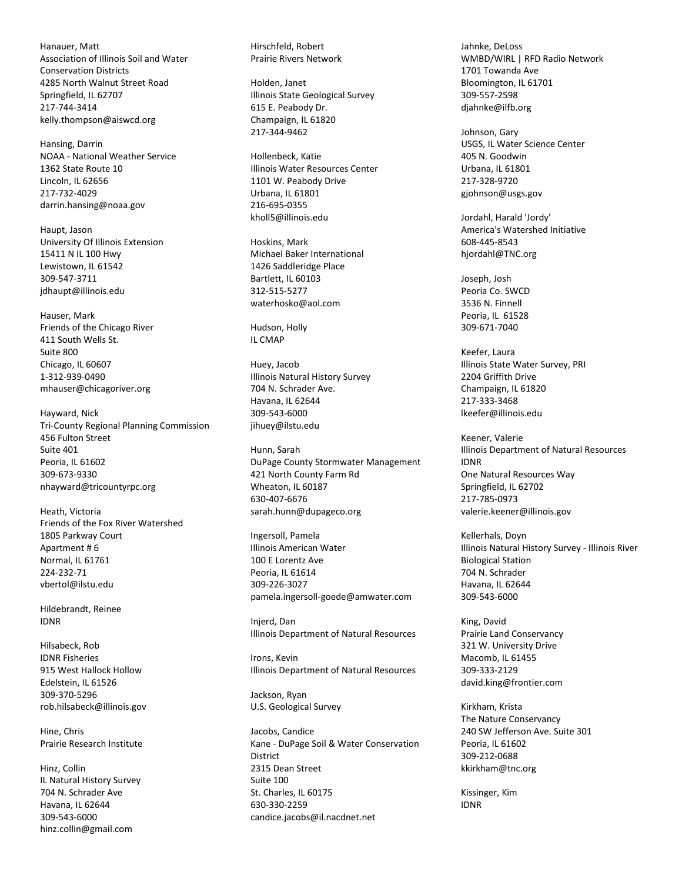Hanauer, Matt Association of Illinois Soil and Water Conservation Districts 4285 North Walnut Street Road Springfield, IL 62707 217-744-3414 kelly.thompson@aiswcd.org

Hansing, Darrin NOAA - National Weather Service 1362 State Route 10 Lincoln, IL 62656 217-732-4029 darrin.hansing@noaa.gov

Haupt, Jason University Of Illinois Extension 15411 N IL 100 Hwy Lewistown, IL 61542 309-547-3711 jdhaupt@illinois.edu

Hauser, Mark Friends of the Chicago River 411 South Wells St. Suite 800 Chicago, IL 60607 1-312-939-0490 mhauser@chicagoriver.org

Hayward, Nick Tri-County Regional Planning Commission 456 Fulton Street Suite 401 Peoria, IL 61602 309-673-9330 nhayward@tricountyrpc.org

Heath, Victoria Friends of the Fox River Watershed 1805 Parkway Court Apartment # 6 Normal, IL 61761 224-232-71 vbertol@ilstu.edu

Hildebrandt, Reinee IDNR

Hilsabeck, Rob IDNR Fisheries 915 West Hallock Hollow Edelstein, IL 61526 309-370-5296 rob.hilsabeck@illinois.gov

Hine, Chris Prairie Research Institute

Hinz, Collin IL Natural History Survey 704 N. Schrader Ave Havana, IL 62644 309-543-6000 hinz.collin@gmail.com

Hirschfeld, Robert Prairie Rivers Network

Holden, Janet Illinois State Geological Survey 615 E. Peabody Dr. Champaign, IL 61820 217-344-9462

Hollenbeck, Katie Illinois Water Resources Center 1101 W. Peabody Drive Urbana, IL 61801 216-695-0355 kholl5@illinois.edu

Hoskins, Mark Michael Baker International 1426 Saddleridge Place Bartlett, IL 60103 312-515-5277 waterhosko@aol.com

Hudson, Holly IL CMAP

Huey, Jacob Illinois Natural History Survey 704 N. Schrader Ave. Havana, IL 62644 309-543-6000 jihuey@ilstu.edu

Hunn, Sarah DuPage County Stormwater Management 421 North County Farm Rd Wheaton, IL 60187 630-407-6676 sarah.hunn@dupageco.org

Ingersoll, Pamela Illinois American Water 100 E Lorentz Ave Peoria, IL 61614 309-226-3027 pamela.ingersoll-goede@amwater.com

Injerd, Dan Illinois Department of Natural Resources

Irons, Kevin Illinois Department of Natural Resources

Jackson, Ryan U.S. Geological Survey

Jacobs, Candice Kane - DuPage Soil & Water Conservation District 2315 Dean Street Suite 100 St. Charles, IL 60175 630-330-2259 candice.jacobs@il.nacdnet.net

Jahnke, DeLoss WMBD/WIRL | RFD Radio Network 1701 Towanda Ave Bloomington, IL 61701 309-557-2598 djahnke@ilfb.org

Johnson, Gary USGS, IL Water Science Center 405 N. Goodwin Urbana, IL 61801 217-328-9720 gjohnson@usgs.gov

Jordahl, Harald 'Jordy' America's Watershed Initiative 608-445-8543 hjordahl@TNC.org

Joseph, Josh Peoria Co. SWCD 3536 N. Finnell Peoria, IL 61528 309-671-7040

Keefer, Laura Illinois State Water Survey, PRI 2204 Griffith Drive Champaign, IL 61820 217-333-3468 lkeefer@illinois.edu

Keener, Valerie Illinois Department of Natural Resources IDNR One Natural Resources Way Springfield, IL 62702 217-785-0973 valerie.keener@illinois.gov

Kellerhals, Doyn Illinois Natural History Survey - Illinois River Biological Station 704 N. Schrader Havana, IL 62644 309-543-6000

King, David Prairie Land Conservancy 321 W. University Drive Macomb, IL 61455 309-333-2129 david.king@frontier.com

Kirkham, Krista The Nature Conservancy 240 SW Jefferson Ave. Suite 301 Peoria, IL 61602 309-212-0688 kkirkham@tnc.org

Kissinger, Kim IDNR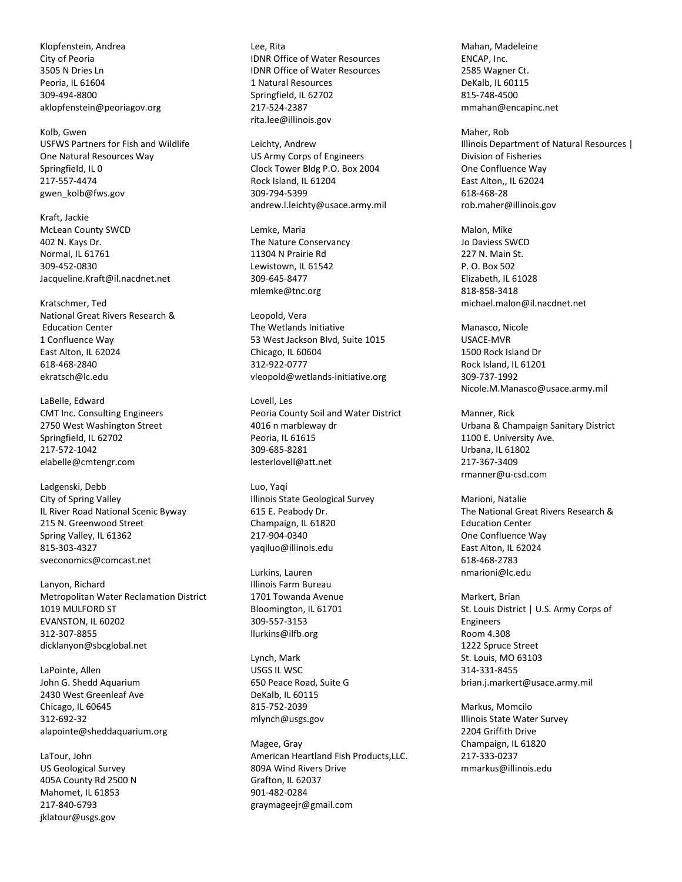Klopfenstein, Andrea City of Peoria 3505 N Dries Ln Peoria, IL 61604 309-494-8800 aklopfenstein@peoriagov.org

Kolb, Gwen USFWS Partners for Fish and Wildlife One Natural Resources Way Springfield, IL 0 217-557-4474 gwen\_kolb@fws.gov

Kraft, Jackie McLean County SWCD 402 N. Kays Dr. Normal, IL 61761 309-452-0830 Jacqueline.Kraft@il.nacdnet.net

Kratschmer, Ted National Great Rivers Research & Education Center 1 Confluence Way East Alton, IL 62024 618-468-2840 ekratsch@lc.edu

LaBelle, Edward CMT Inc. Consulting Engineers 2750 West Washington Street Springfield, IL 62702 217-572-1042 elabelle@cmtengr.com

Ladgenski, Debb City of Spring Valley IL River Road National Scenic Byway 215 N. Greenwood Street Spring Valley, IL 61362 815-303-4327 sveconomics@comcast.net

Lanyon, Richard Metropolitan Water Reclamation District 1019 MULFORD ST EVANSTON, IL 60202 312-307-8855 dicklanyon@sbcglobal.net

LaPointe, Allen John G. Shedd Aquarium 2430 West Greenleaf Ave Chicago, IL 60645 312-692-32 alapointe@sheddaquarium.org

LaTour, John US Geological Survey 405A County Rd 2500 N Mahomet, IL 61853 217-840-6793 jklatour@usgs.gov

Lee, Rita IDNR Office of Water Resources IDNR Office of Water Resources 1 Natural Resources Springfield, IL 62702 217-524-2387 rita.lee@illinois.gov

Leichty, Andrew US Army Corps of Engineers Clock Tower Bldg P.O. Box 2004 Rock Island, IL 61204 309-794-5399 andrew.l.leichty@usace.army.mil

Lemke, Maria The Nature Conservancy 11304 N Prairie Rd Lewistown, IL 61542 309-645-8477 mlemke@tnc.org

Leopold, Vera The Wetlands Initiative 53 West Jackson Blvd, Suite 1015 Chicago, IL 60604 312-922-0777 vleopold@wetlands-initiative.org

Lovell, Les Peoria County Soil and Water District 4016 n marbleway dr Peoria, IL 61615 309-685-8281 lesterlovell@att.net

Luo, Yaqi Illinois State Geological Survey 615 E. Peabody Dr. Champaign, IL 61820 217-904-0340 yaqiluo@illinois.edu

Lurkins, Lauren Illinois Farm Bureau 1701 Towanda Avenue Bloomington, IL 61701 309-557-3153 llurkins@ilfb.org

Lynch, Mark USGS IL WSC 650 Peace Road, Suite G DeKalb, IL 60115 815-752-2039 mlynch@usgs.gov

Magee, Gray American Heartland Fish Products,LLC. 809A Wind Rivers Drive Grafton, IL 62037 901-482-0284 graymageejr@gmail.com

Mahan, Madeleine ENCAP, Inc. 2585 Wagner Ct. DeKalb, IL 60115 815-748-4500 mmahan@encapinc.net

Maher, Rob Illinois Department of Natural Resources | Division of Fisheries One Confluence Way East Alton,, IL 62024 618-468-28 rob.maher@illinois.gov

Malon, Mike Jo Daviess SWCD 227 N. Main St. P. O. Box 502 Elizabeth, IL 61028 818-858-3418 michael.malon@il.nacdnet.net

Manasco, Nicole USACE-MVR 1500 Rock Island Dr Rock Island, IL 61201 309-737-1992 Nicole.M.Manasco@usace.army.mil

Manner, Rick Urbana & Champaign Sanitary District 1100 E. University Ave. Urbana, IL 61802 217-367-3409 rmanner@u-csd.com

Marioni, Natalie The National Great Rivers Research & Education Center One Confluence Way East Alton, IL 62024 618-468-2783 nmarioni@lc.edu

Markert, Brian St. Louis District | U.S. Army Corps of Engineers Room 4.308 1222 Spruce Street St. Louis, MO 63103 314-331-8455 brian.j.markert@usace.army.mil

Markus, Momcilo Illinois State Water Survey 2204 Griffith Drive Champaign, IL 61820 217-333-0237 mmarkus@illinois.edu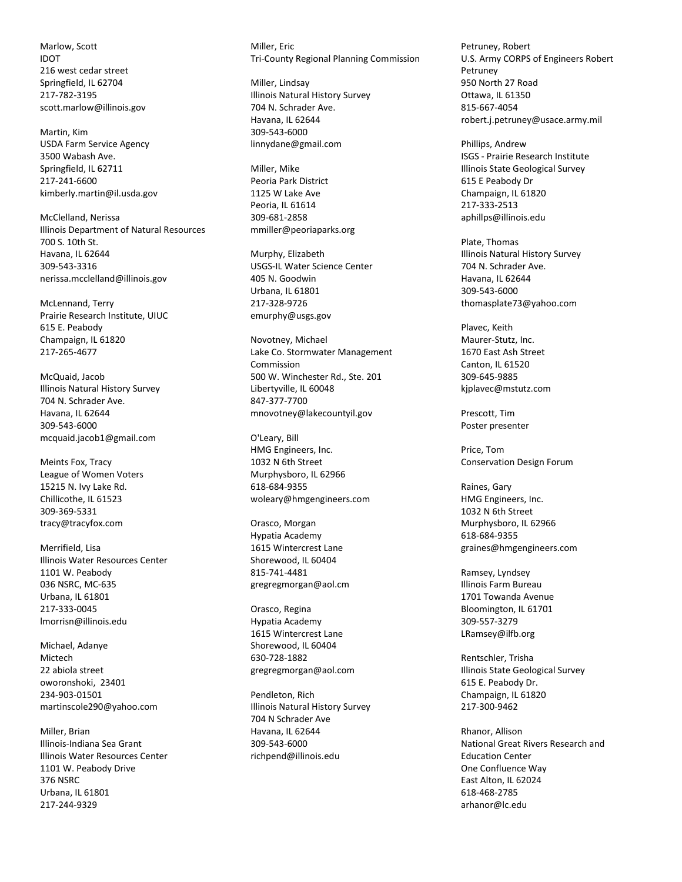Marlow, Scott IDOT 216 west cedar street Springfield, IL 62704 217-782-3195 scott.marlow@illinois.gov

Martin, Kim USDA Farm Service Agency 3500 Wabash Ave. Springfield, IL 62711 217-241-6600 kimberly.martin@il.usda.gov

McClelland, Nerissa Illinois Department of Natural Resources 700 S. 10th St. Havana, IL 62644 309-543-3316 nerissa.mcclelland@illinois.gov

McLennand, Terry Prairie Research Institute, UIUC 615 E. Peabody Champaign, IL 61820 217-265-4677

McQuaid, Jacob Illinois Natural History Survey 704 N. Schrader Ave. Havana, IL 62644 309-543-6000 mcquaid.jacob1@gmail.com

Meints Fox, Tracy League of Women Voters 15215 N. Ivy Lake Rd. Chillicothe, IL 61523 309-369-5331 tracy@tracyfox.com

Merrifield, Lisa Illinois Water Resources Center 1101 W. Peabody 036 NSRC, MC-635 Urbana, IL 61801 217-333-0045 lmorrisn@illinois.edu

Michael, Adanye Mictech 22 abiola street oworonshoki, 23401 234-903-01501 martinscole290@yahoo.com

Miller, Brian Illinois-Indiana Sea Grant Illinois Water Resources Center 1101 W. Peabody Drive 376 NSRC Urbana, IL 61801 217-244-9329

Miller, Fric Tri-County Regional Planning Commission

Miller, Lindsay Illinois Natural History Survey 704 N. Schrader Ave. Havana, IL 62644 309-543-6000 linnydane@gmail.com

Miller, Mike Peoria Park District 1125 W Lake Ave Peoria, IL 61614 309-681-2858 mmiller@peoriaparks.org

Murphy, Elizabeth USGS-IL Water Science Center 405 N. Goodwin Urbana, IL 61801 217-328-9726 emurphy@usgs.gov

Novotney, Michael Lake Co. Stormwater Management Commission 500 W. Winchester Rd., Ste. 201 Libertyville, IL 60048 847-377-7700 mnovotney@lakecountyil.gov

O'Leary, Bill HMG Engineers, Inc. 1032 N 6th Street Murphysboro, IL 62966 618-684-9355 woleary@hmgengineers.com

Orasco, Morgan Hypatia Academy 1615 Wintercrest Lane Shorewood, IL 60404 815-741-4481 gregregmorgan@aol.cm

Orasco, Regina Hypatia Academy 1615 Wintercrest Lane Shorewood, IL 60404 630-728-1882 gregregmorgan@aol.com

Pendleton, Rich Illinois Natural History Survey 704 N Schrader Ave Havana, IL 62644 309-543-6000 richpend@illinois.edu

Petruney, Robert U.S. Army CORPS of Engineers Robert Petruney 950 North 27 Road Ottawa, IL 61350 815-667-4054 robert.j.petruney@usace.army.mil

Phillips, Andrew ISGS - Prairie Research Institute Illinois State Geological Survey 615 E Peabody Dr Champaign, IL 61820 217-333-2513 aphillps@illinois.edu

Plate, Thomas Illinois Natural History Survey 704 N. Schrader Ave. Havana, IL 62644 309-543-6000 thomasplate73@yahoo.com

Plavec, Keith Maurer-Stutz, Inc. 1670 East Ash Street Canton, IL 61520 309-645-9885 kjplavec@mstutz.com

Prescott, Tim Poster presenter

Price, Tom Conservation Design Forum

Raines, Gary HMG Engineers, Inc. 1032 N 6th Street Murphysboro, IL 62966 618-684-9355 graines@hmgengineers.com

Ramsey, Lyndsey Illinois Farm Bureau 1701 Towanda Avenue Bloomington, IL 61701 309-557-3279 LRamsey@ilfb.org

Rentschler, Trisha Illinois State Geological Survey 615 E. Peabody Dr. Champaign, IL 61820 217-300-9462

Rhanor, Allison National Great Rivers Research and Education Center One Confluence Way East Alton, IL 62024 618-468-2785 arhanor@lc.edu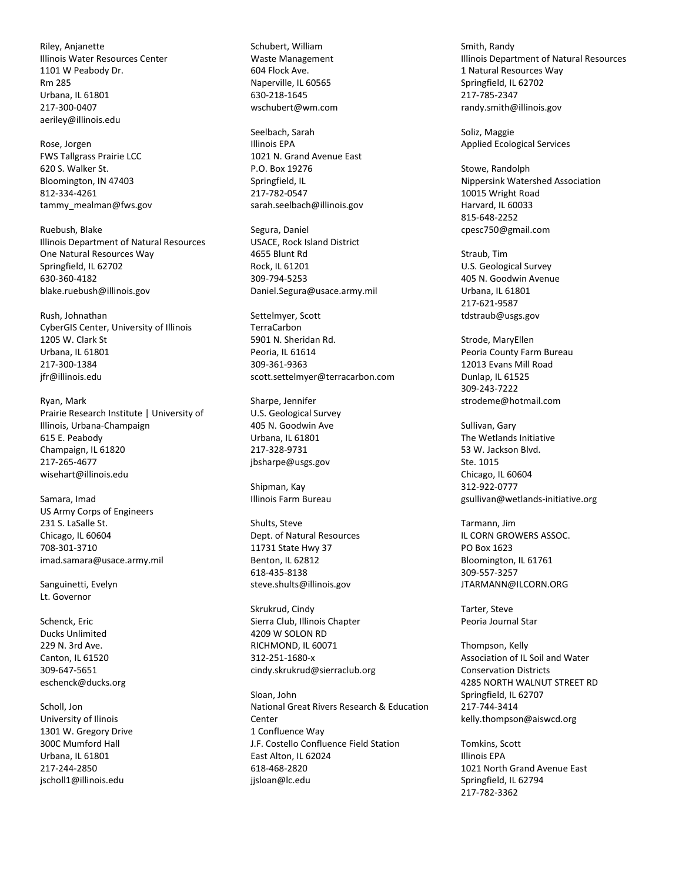Riley, Anjanette Illinois Water Resources Center 1101 W Peabody Dr. Rm 285 Urbana, IL 61801 217-300-0407 aeriley@illinois.edu

Rose, Jorgen FWS Tallgrass Prairie LCC 620 S. Walker St. Bloomington, IN 47403 812-334-4261 tammy\_mealman@fws.gov

Ruebush, Blake Illinois Department of Natural Resources One Natural Resources Way Springfield, IL 62702 630-360-4182 blake.ruebush@illinois.gov

Rush, Johnathan CyberGIS Center, University of Illinois 1205 W. Clark St Urbana, IL 61801 217-300-1384 jfr@illinois.edu

Ryan, Mark Prairie Research Institute | University of Illinois, Urbana-Champaign 615 E. Peabody Champaign, IL 61820 217-265-4677 wisehart@illinois.edu

Samara, Imad US Army Corps of Engineers 231 S. LaSalle St. Chicago, IL 60604 708-301-3710 imad.samara@usace.army.mil

Sanguinetti, Evelyn Lt. Governor

Schenck, Eric Ducks Unlimited 229 N. 3rd Ave. Canton, IL 61520 309-647-5651 eschenck@ducks.org

Scholl, Jon University of Ilinois 1301 W. Gregory Drive 300C Mumford Hall Urbana, IL 61801 217-244-2850 jscholl1@illinois.edu

Schubert, William Waste Management 604 Flock Ave. Naperville, IL 60565 630-218-1645 wschubert@wm.com

Seelbach, Sarah Illinois EPA 1021 N. Grand Avenue East P.O. Box 19276 Springfield, IL 217-782-0547 sarah.seelbach@illinois.gov

Segura, Daniel USACE, Rock Island District 4655 Blunt Rd Rock, IL 61201 309-794-5253 Daniel.Segura@usace.army.mil

Settelmyer, Scott TerraCarbon 5901 N. Sheridan Rd. Peoria, IL 61614 309-361-9363 scott.settelmyer@terracarbon.com

Sharpe, Jennifer U.S. Geological Survey 405 N. Goodwin Ave Urbana, IL 61801 217-328-9731 jbsharpe@usgs.gov

Shipman, Kay Illinois Farm Bureau

Shults, Steve Dept. of Natural Resources 11731 State Hwy 37 Benton, IL 62812 618-435-8138 steve.shults@illinois.gov

Skrukrud, Cindy Sierra Club, Illinois Chapter 4209 W SOLON RD RICHMOND, IL 60071 312-251-1680-x cindy.skrukrud@sierraclub.org

Sloan, John National Great Rivers Research & Education **Center** 1 Confluence Way J.F. Costello Confluence Field Station East Alton, IL 62024 618-468-2820 jjsloan@lc.edu

Smith, Randy Illinois Department of Natural Resources 1 Natural Resources Way Springfield, IL 62702 217-785-2347 randy.smith@illinois.gov

Soliz, Maggie Applied Ecological Services

Stowe, Randolph Nippersink Watershed Association 10015 Wright Road Harvard, IL 60033 815-648-2252 cpesc750@gmail.com

Straub, Tim U.S. Geological Survey 405 N. Goodwin Avenue Urbana, IL 61801 217-621-9587 tdstraub@usgs.gov

Strode, MaryEllen Peoria County Farm Bureau 12013 Evans Mill Road Dunlap, IL 61525 309-243-7222 strodeme@hotmail.com

Sullivan, Gary The Wetlands Initiative 53 W. Jackson Blvd. Ste. 1015 Chicago, IL 60604 312-922-0777 gsullivan@wetlands-initiative.org

Tarmann, Jim IL CORN GROWERS ASSOC. PO Box 1623 Bloomington, IL 61761 309-557-3257 JTARMANN@ILCORN.ORG

Tarter, Steve Peoria Journal Star

Thompson, Kelly Association of IL Soil and Water Conservation Districts 4285 NORTH WALNUT STREET RD Springfield, IL 62707 217-744-3414 kelly.thompson@aiswcd.org

Tomkins, Scott Illinois EPA 1021 North Grand Avenue East Springfield, IL 62794 217-782-3362